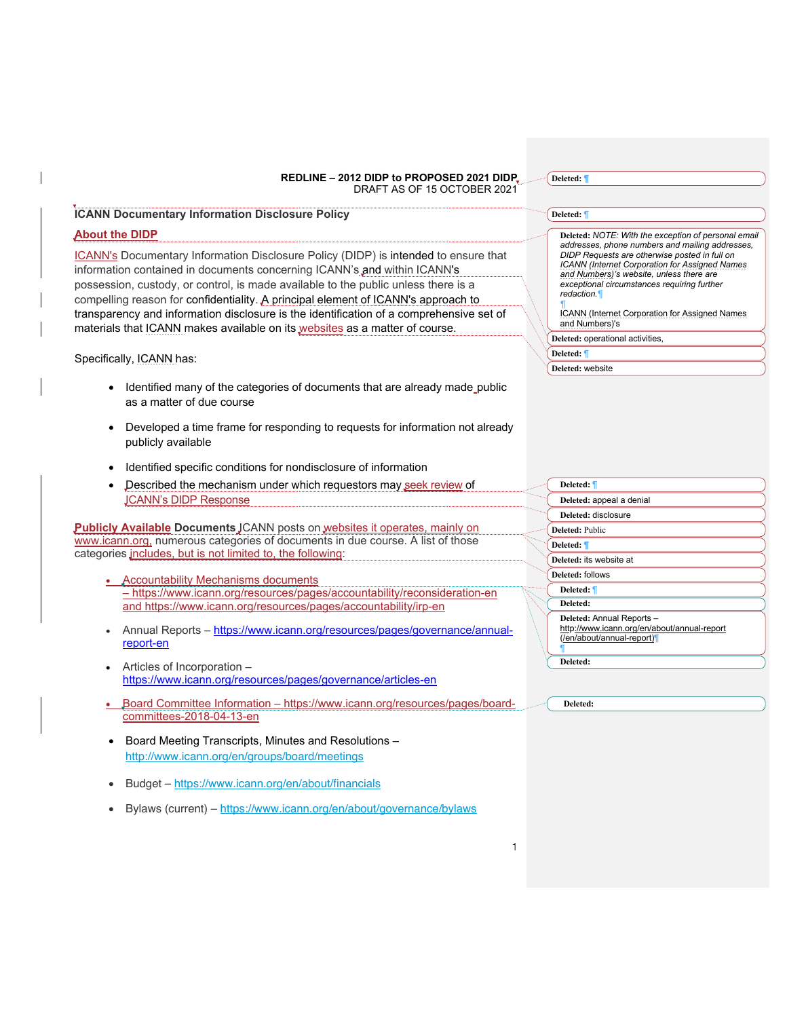# **ICANN Documentary Information Disclosure Policy**

# **About the DIDP**

ICANN's Documentary Information Disclosure Policy (DIDP) is intended to ensure that information contained in documents concerning ICANN's and within ICANN's possession, custody, or control, is made available to the public unless there is a compelling reason for confidentiality. A principal element of ICANN's approach to transparency and information disclosure is the identification of a comprehensive set of materials that ICANN makes available on its websites as a matter of course.

Specifically, ICANN has:

- Identified many of the categories of documents that are already made public as a matter of due course
- Developed a time frame for responding to requests for information not already publicly available
- Identified specific conditions for nondisclosure of information
- Described the mechanism under which requestors may seek review of ICANN's DIDP Response

**Publicly Available Documents** JCANN posts on websites it operates, mainly on www.icann.org, numerous categories of documents in due course. A list of those categories includes, but is not limited to, the following:

- **Accountability Mechanisms documents** – https://www.icann.org/resources/pages/accountability/reconsideration-en and https://www.icann.org/resources/pages/accountability/irp-en
- Annual Reports https://www.icann.org/resources/pages/governance/annualreport-en
- Articles of Incorporation https://www.icann.org/resources/pages/governance/articles-en
- Board Committee Information https://www.icann.org/resources/pages/boardcommittees-2018-04-13-en
- Board Meeting Transcripts, Minutes and Resolutions http://www.icann.org/en/groups/board/meetings
- Budget https://www.icann.org/en/about/financials
- Bylaws (current) https://www.icann.org/en/about/governance/bylaws

| пенете<br>' ' |  |
|---------------|--|
|               |  |

#### **Deleted:** ¶

**Deleted:** *NOTE: With the exception of personal email addresses, phone numbers and mailing addresses, DIDP Requests are otherwise posted in full on ICANN (Internet Corporation for Assigned Names and Numbers)'s website, unless there are exceptional circumstances requiring further redaction.¶*

*¶* ICANN (Internet Corporation for Assigned Names and Numbers)'s

**Deleted:** operational activities,

# **Deleted:** ¶

**Deleted:** website

| Deleted: 1                                                               |
|--------------------------------------------------------------------------|
| Deleted: appeal a denial                                                 |
| Deleted: disclosure                                                      |
| Deleted: Public                                                          |
| Deleted: ¶                                                               |
| Deleted: its website at                                                  |
| Deleted: follows                                                         |
| Deleted: 1                                                               |
| Deleted:                                                                 |
| Deleted: Annual Reports-                                                 |
| http://www.icann.org/en/about/annual-report<br>(/en/about/annual-report) |
|                                                                          |
| Deleted:                                                                 |
|                                                                          |
|                                                                          |

**Deleted:** 

1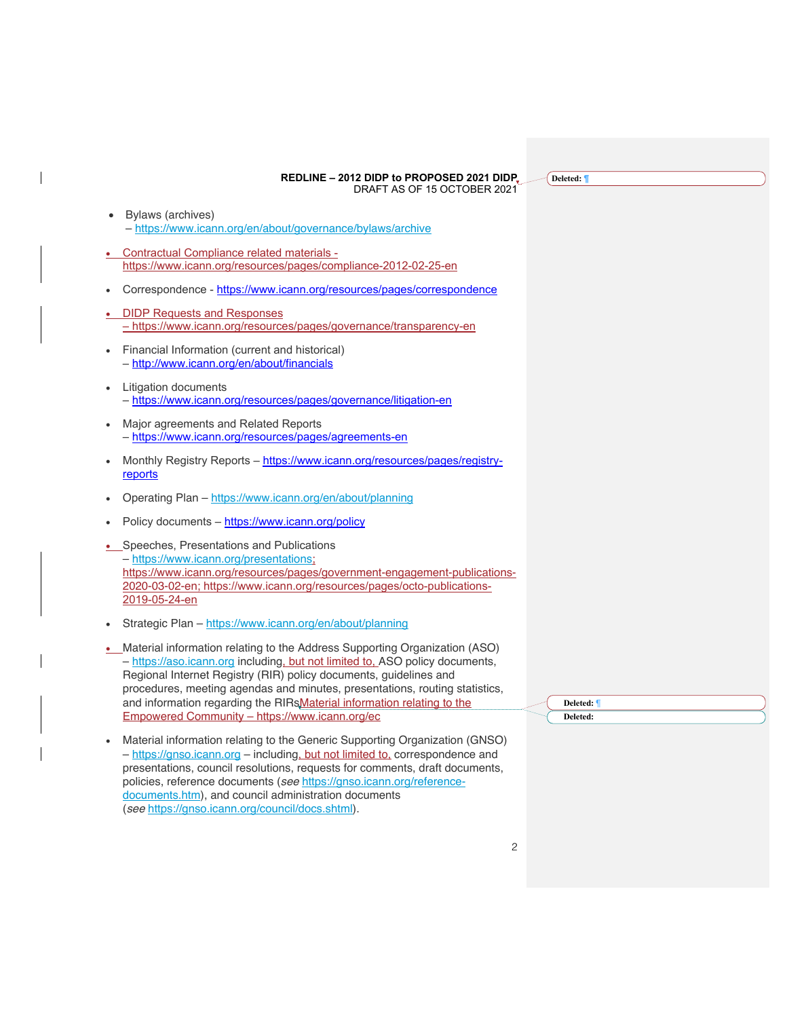**Deleted: ¶**

- Bylaws (archives) – https://www.icann.org/en/about/governance/bylaws/archive
- Contractual Compliance related materials https://www.icann.org/resources/pages/compliance-2012-02-25-en
- Correspondence https://www.icann.org/resources/pages/correspondence
- DIDP Requests and Responses – https://www.icann.org/resources/pages/governance/transparency-en
- Financial Information (current and historical) – http://www.icann.org/en/about/financials
- Litigation documents – https://www.icann.org/resources/pages/governance/litigation-en
- Major agreements and Related Reports – https://www.icann.org/resources/pages/agreements-en
- Monthly Registry Reports https://www.icann.org/resources/pages/registryreports
- Operating Plan https://www.icann.org/en/about/planning
- Policy documents https://www.icann.org/policy
- Speeches, Presentations and Publications – https://www.icann.org/presentations; https://www.icann.org/resources/pages/government-engagement-publications-2020-03-02-en; https://www.icann.org/resources/pages/octo-publications-2019-05-24-en
- Strategic Plan https://www.icann.org/en/about/planning
- Material information relating to the Address Supporting Organization (ASO) – https://aso.icann.org including, but not limited to, ASO policy documents, Regional Internet Registry (RIR) policy documents, guidelines and procedures, meeting agendas and minutes, presentations, routing statistics, and information regarding the RIRsMaterial information relating to the Empowered Community – https://www.icann.org/ec
- Material information relating to the Generic Supporting Organization (GNSO) – https://gnso.icann.org – including, but not limited to, correspondence and presentations, council resolutions, requests for comments, draft documents, policies, reference documents (*see* https://gnso.icann.org/referencedocuments.htm), and council administration documents (*see* https://gnso.icann.org/council/docs.shtml).

**Deleted:** ¶ **Deleted:** 

2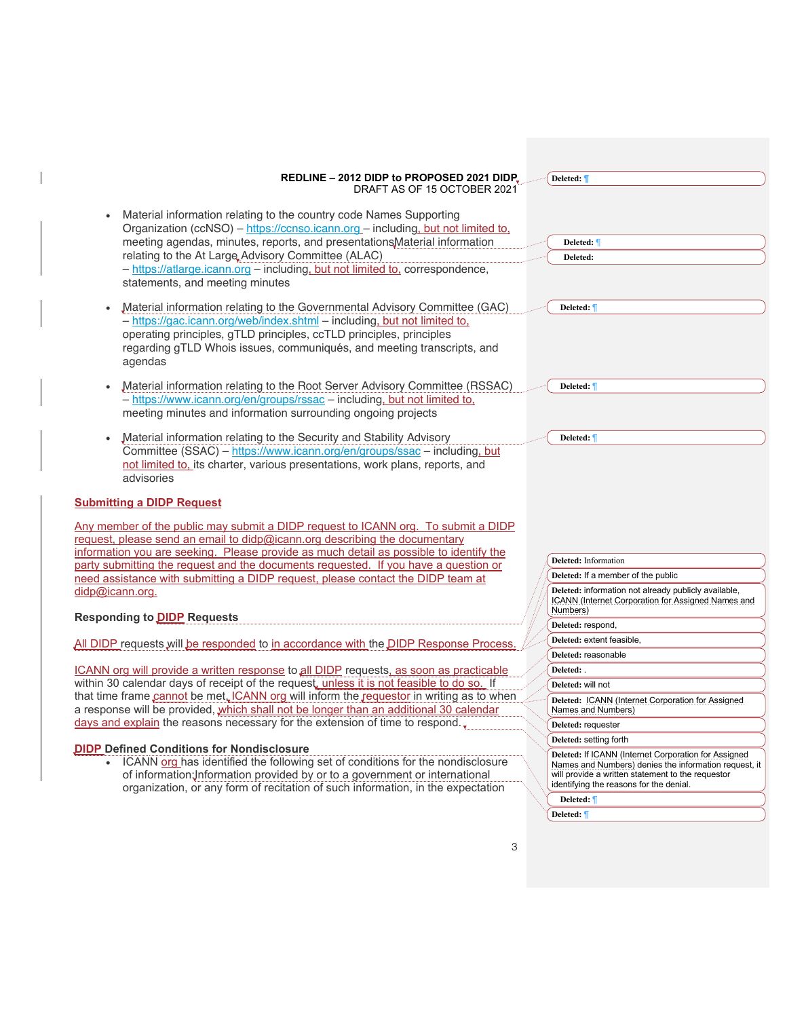| REDLINE - 2012 DIDP to PROPOSED 2021 DIDP.                                                                                                                                                                                                                                                                                                                                                                  | Deleted: 1                                                                                                                                                                                                    |
|-------------------------------------------------------------------------------------------------------------------------------------------------------------------------------------------------------------------------------------------------------------------------------------------------------------------------------------------------------------------------------------------------------------|---------------------------------------------------------------------------------------------------------------------------------------------------------------------------------------------------------------|
| DRAFT AS OF 15 OCTOBER 2021                                                                                                                                                                                                                                                                                                                                                                                 |                                                                                                                                                                                                               |
| Material information relating to the country code Names Supporting<br>Organization (ccNSO) – https://ccnso.icann.org – including, but not limited to,<br>meeting agendas, minutes, reports, and presentations Material information<br>relating to the At Large Advisory Committee (ALAC)<br>- https://atlarge.icann.org - including, but not limited to, correspondence,<br>statements, and meeting minutes | Deleted: 1<br>Deleted:                                                                                                                                                                                        |
| Material information relating to the Governmental Advisory Committee (GAC)<br>- https://gac.icann.org/web/index.shtml - including, but not limited to,<br>operating principles, gTLD principles, ccTLD principles, principles<br>regarding gTLD Whois issues, communiqués, and meeting transcripts, and<br>agendas                                                                                          | Deleted: 1                                                                                                                                                                                                    |
| Material information relating to the Root Server Advisory Committee (RSSAC)<br>- https://www.icann.org/en/groups/rssac - including, but not limited to,<br>meeting minutes and information surrounding ongoing projects                                                                                                                                                                                     | Deleted: 1                                                                                                                                                                                                    |
| Material information relating to the Security and Stability Advisory<br>Committee (SSAC) - https://www.icann.org/en/groups/ssac - including, but<br>not limited to, its charter, various presentations, work plans, reports, and<br>advisories                                                                                                                                                              | Deleted: ¶                                                                                                                                                                                                    |
| <b>Submitting a DIDP Request</b>                                                                                                                                                                                                                                                                                                                                                                            |                                                                                                                                                                                                               |
| Any member of the public may submit a DIDP request to ICANN org. To submit a DIDP<br>request, please send an email to didp@icann.org describing the documentary<br>information you are seeking. Please provide as much detail as possible to identify the                                                                                                                                                   |                                                                                                                                                                                                               |
| party submitting the request and the documents requested. If you have a question or                                                                                                                                                                                                                                                                                                                         | Deleted: Information                                                                                                                                                                                          |
| need assistance with submitting a DIDP request, please contact the DIDP team at                                                                                                                                                                                                                                                                                                                             | Deleted: If a member of the public                                                                                                                                                                            |
| didp@icann.org.                                                                                                                                                                                                                                                                                                                                                                                             | Deleted: information not already publicly available,<br><b>ICANN (Internet Corporation for Assigned Names and</b><br>Numbers)                                                                                 |
| <b>Responding to DIDP Requests</b>                                                                                                                                                                                                                                                                                                                                                                          | Deleted: respond,                                                                                                                                                                                             |
|                                                                                                                                                                                                                                                                                                                                                                                                             | Deleted: extent feasible,                                                                                                                                                                                     |
| All DIDP requests will be responded to in accordance with the DIDP Response Process                                                                                                                                                                                                                                                                                                                         | Deleted: reasonable                                                                                                                                                                                           |
| ICANN org will provide a written response to all DIDP requests, as soon as practicable                                                                                                                                                                                                                                                                                                                      | Deleted: .                                                                                                                                                                                                    |
| within 30 calendar days of receipt of the request, unless it is not feasible to do so. If                                                                                                                                                                                                                                                                                                                   | Deleted: will not                                                                                                                                                                                             |
| that time frame cannot be met. ICANN org will inform the requestor in writing as to when<br>a response will be provided, which shall not be longer than an additional 30 calendar                                                                                                                                                                                                                           | Deleted: ICANN (Internet Corporation for Assigned<br>Names and Numbers)                                                                                                                                       |
| days and explain the reasons necessary for the extension of time to respond.                                                                                                                                                                                                                                                                                                                                | Deleted: requester                                                                                                                                                                                            |
|                                                                                                                                                                                                                                                                                                                                                                                                             | Deleted: setting forth                                                                                                                                                                                        |
| <b>DIDP Defined Conditions for Nondisclosure</b><br>• ICANN org has identified the following set of conditions for the nondisclosure<br>of information: Information provided by or to a government or international<br>organization, or any form of recitation of such information, in the expectation                                                                                                      | Deleted: If ICANN (Internet Corporation for Assigned<br>Names and Numbers) denies the information request, it<br>will provide a written statement to the requestor<br>identifying the reasons for the denial. |
|                                                                                                                                                                                                                                                                                                                                                                                                             | Deleted:                                                                                                                                                                                                      |
|                                                                                                                                                                                                                                                                                                                                                                                                             | Deleted: 1                                                                                                                                                                                                    |
|                                                                                                                                                                                                                                                                                                                                                                                                             |                                                                                                                                                                                                               |

 $\overline{\phantom{a}}$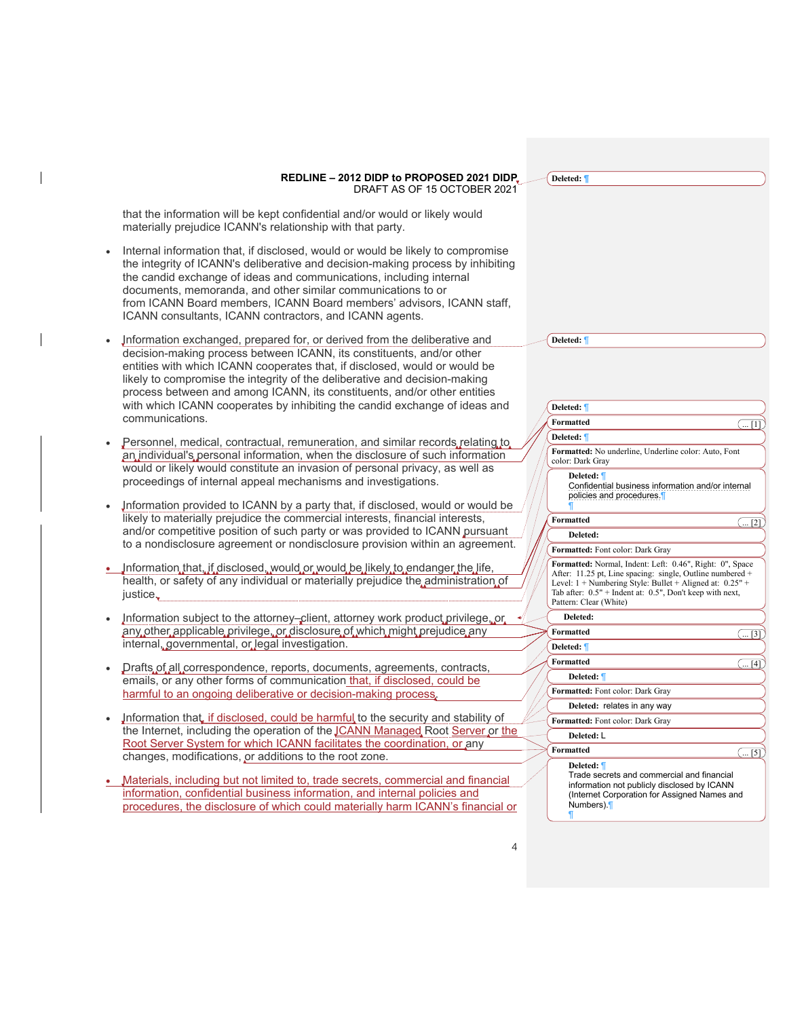**Deleted: ¶**

**Deleted:** ¶

that the information will be kept confidential and/or would or likely would materially prejudice ICANN's relationship with that party.

- Internal information that, if disclosed, would or would be likely to compromise the integrity of ICANN's deliberative and decision-making process by inhibiting the candid exchange of ideas and communications, including internal documents, memoranda, and other similar communications to or from ICANN Board members, ICANN Board members' advisors, ICANN staff, ICANN consultants, ICANN contractors, and ICANN agents.
- Information exchanged, prepared for, or derived from the deliberative and decision-making process between ICANN, its constituents, and/or other entities with which ICANN cooperates that, if disclosed, would or would be likely to compromise the integrity of the deliberative and decision-making process between and among ICANN, its constituents, and/or other entities with which ICANN cooperates by inhibiting the candid exchange of ideas and communications.
- Personnel, medical, contractual, remuneration, and similar records relating to an individual's personal information, when the disclosure of such information would or likely would constitute an invasion of personal privacy, as well as proceedings of internal appeal mechanisms and investigations.
- Information provided to ICANN by a party that, if disclosed, would or would be likely to materially prejudice the commercial interests, financial interests, and/or competitive position of such party or was provided to ICANN pursuant to a nondisclosure agreement or nondisclosure provision within an agreement.
- Information that, if disclosed, would or would be likely to endanger the life, health, or safety of any individual or materially prejudice the administration of justice.
- Information subject to the attorney-client, attorney work product privilege, or any other applicable privilege, or disclosure of which might prejudice any internal, governmental, or legal investigation.
- Drafts of all correspondence, reports, documents, agreements, contracts, emails, or any other forms of communication that, if disclosed, could be harmful to an ongoing deliberative or decision-making process.
- Information that if disclosed, could be harmful to the security and stability of the Internet, including the operation of the **JCANN Managed Root Server or the** Root Server System for which ICANN facilitates the coordination, or any changes, modifications, or additions to the root zone.
- Materials, including but not limited to, trade secrets, commercial and financial information, confidential business information, and internal policies and procedures, the disclosure of which could materially harm ICANN's financial or

| Deleted: 1       |                                                                                                                                                                                                                                                                             |
|------------------|-----------------------------------------------------------------------------------------------------------------------------------------------------------------------------------------------------------------------------------------------------------------------------|
| <b>Formatted</b> | $\binom{1}{1}$                                                                                                                                                                                                                                                              |
| Deleted: 1       |                                                                                                                                                                                                                                                                             |
|                  | Formatted: No underline, Underline color: Auto, Font<br>color: Dark Gray                                                                                                                                                                                                    |
|                  | Deleted: ¶<br>Confidential business information and/or internal<br>policies and procedures.                                                                                                                                                                                 |
| <b>Formatted</b> | (  [2]                                                                                                                                                                                                                                                                      |
|                  | Deleted:                                                                                                                                                                                                                                                                    |
|                  | Formatted: Font color: Dark Gray                                                                                                                                                                                                                                            |
|                  | Formatted: Normal, Indent: Left: 0.46", Right: 0", Space<br>After: 11.25 pt, Line spacing: single, Outline numbered +<br>Level: $1 +$ Numbering Style: Bullet + Aligned at: $0.25"$ +<br>Tab after: 0.5" + Indent at: 0.5", Don't keep with next,<br>Pattern: Clear (White) |
|                  | Deleted:                                                                                                                                                                                                                                                                    |
| <b>Formatted</b> | ( 3]                                                                                                                                                                                                                                                                        |
| Deleted: 1       |                                                                                                                                                                                                                                                                             |
| <b>Formatted</b> | ( 14]                                                                                                                                                                                                                                                                       |
|                  | Deleted: 1                                                                                                                                                                                                                                                                  |
|                  | Formatted: Font color: Dark Gray                                                                                                                                                                                                                                            |
|                  | Deleted: relates in any way                                                                                                                                                                                                                                                 |
|                  | Formatted: Font color: Dark Gray                                                                                                                                                                                                                                            |
|                  | Deleted: L                                                                                                                                                                                                                                                                  |
| <b>Formatted</b> | 51  )                                                                                                                                                                                                                                                                       |
|                  | Deleted: ¶<br>Trade secrets and commercial and financial<br>information not publicly disclosed by ICANN<br>(Internet Corporation for Assigned Names and<br>Numbers).                                                                                                        |

¶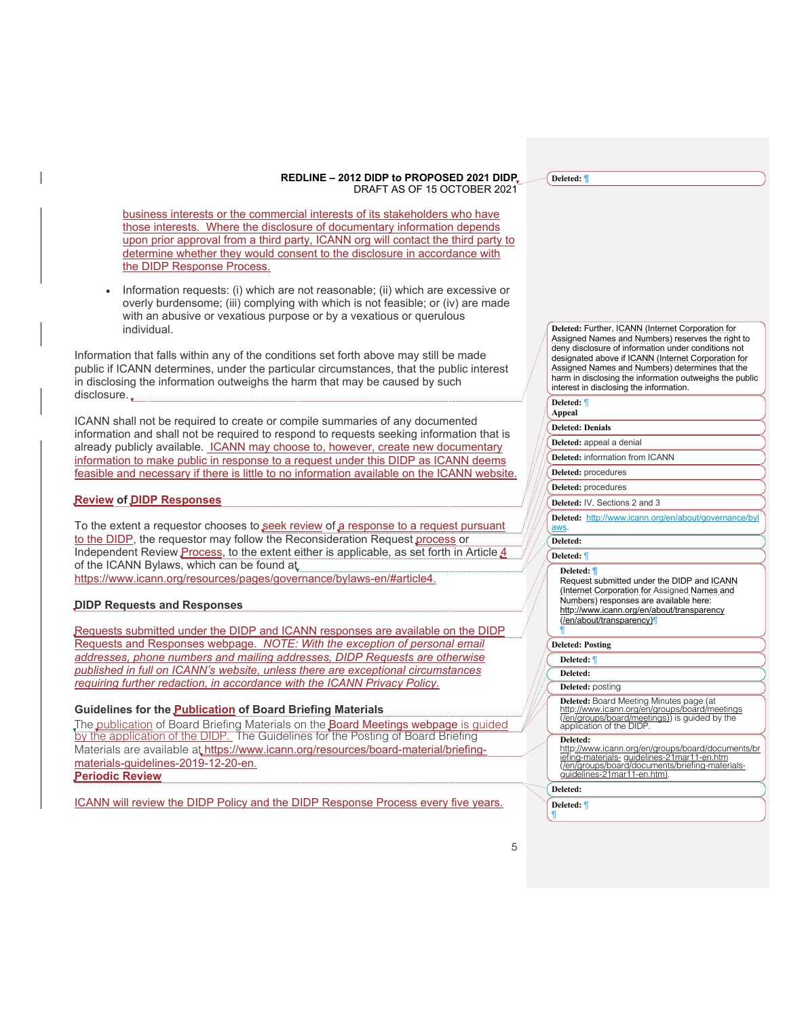business interests or the commercial interests of its stakeholders who have those interests. Where the disclosure of documentary information depends upon prior approval from a third party, ICANN org will contact the third party to determine whether they would consent to the disclosure in accordance with the DIDP Response Process.

• Information requests: (i) which are not reasonable; (ii) which are excessive or overly burdensome; (iii) complying with which is not feasible; or (iv) are made with an abusive or vexatious purpose or by a vexatious or querulous individual.

Information that falls within any of the conditions set forth above may still be made public if ICANN determines, under the particular circumstances, that the public interest in disclosing the information outweighs the harm that may be caused by such disclosure..

ICANN shall not be required to create or compile summaries of any documented information and shall not be required to respond to requests seeking information that is already publicly available. ICANN may choose to, however, create new documentary information to make public in response to a request under this DIDP as ICANN deems feasible and necessary if there is little to no information available on the ICANN website.

# **Review of DIDP Responses**

To the extent a requestor chooses to seek review of a response to a request pursuant to the DIDP, the requestor may follow the Reconsideration Request process or Independent Review Process, to the extent either is applicable, as set forth in Article 4 of the ICANN Bylaws, which can be found at https://www.icann.org/resources/pages/governance/bylaws-en/#article4.

#### **DIDP Requests and Responses**

Requests submitted under the DIDP and ICANN responses are available on the DIDP Requests and Responses webpage. *NOTE: With the exception of personal email addresses, phone numbers and mailing addresses, DIDP Requests are otherwise published in full on ICANN's website, unless there are exceptional circumstances requiring further redaction, in accordance with the ICANN Privacy Policy.*

## **Guidelines for the Publication of Board Briefing Materials**

The publication of Board Briefing Materials on the **Board Meetings webpage** is quided by the application of the DIDP. The Guidelines for the Posting of Board Briefing Materials are available at https://www.icann.org/resources/board-material/briefingmaterials-guidelines-2019-12-20-en. **Periodic Review**

ICANN will review the DIDP Policy and the DIDP Response Process every five years.

#### **Deleted:** Further, ICANN (Internet Corporation for Assigned Names and Numbers) reserves the right to deny disclosure of information under conditions not designated above if ICANN (Internet Corporation for Assigned Names and Numbers) determines that the harm in disclosing the information outweighs the public interest in disclosing the information.

#### **Deleted:** ¶ **Appeal**

**Deleted: ¶**

## **Deleted: Denials**

**Deleted:** appeal a denial

**Deleted:** information from ICANN

**Deleted:** procedures

**Deleted:** procedures

**Deleted:** IV, Sections 2 and 3

**Deleted:** http://www.icann.org/en/about/governance/byl aws.

**Deleted:** 

#### **Deleted:** ¶

**Deleted: ¶**

Request submitted under the DIDP and ICANN (Internet Corporation for Assigned Names and Numbers) responses are available here: http://www.icann.org/en/about/transparency (/en/about/transparency)¶

¶

## **Deleted: Posting**

**Deleted:** ¶

**Deleted:** 

**Deleted:** posting

**Deleted:** Board Meeting Minutes page (at http://www.icann.org/en/groups/board/meetings (/en/groups/board/meetings)) is guided by the application of the DIDP.

**Deleted:** 

http://www.icann.org/en/groups/board/documents/br iefing-materials- guidelines-21mar11-en.htm<br>(/en/groups/board/documents/briefing-materials-<br>guidelines-21mar11-en.htm).

**Deleted:** 

**Deleted:** ¶ ¶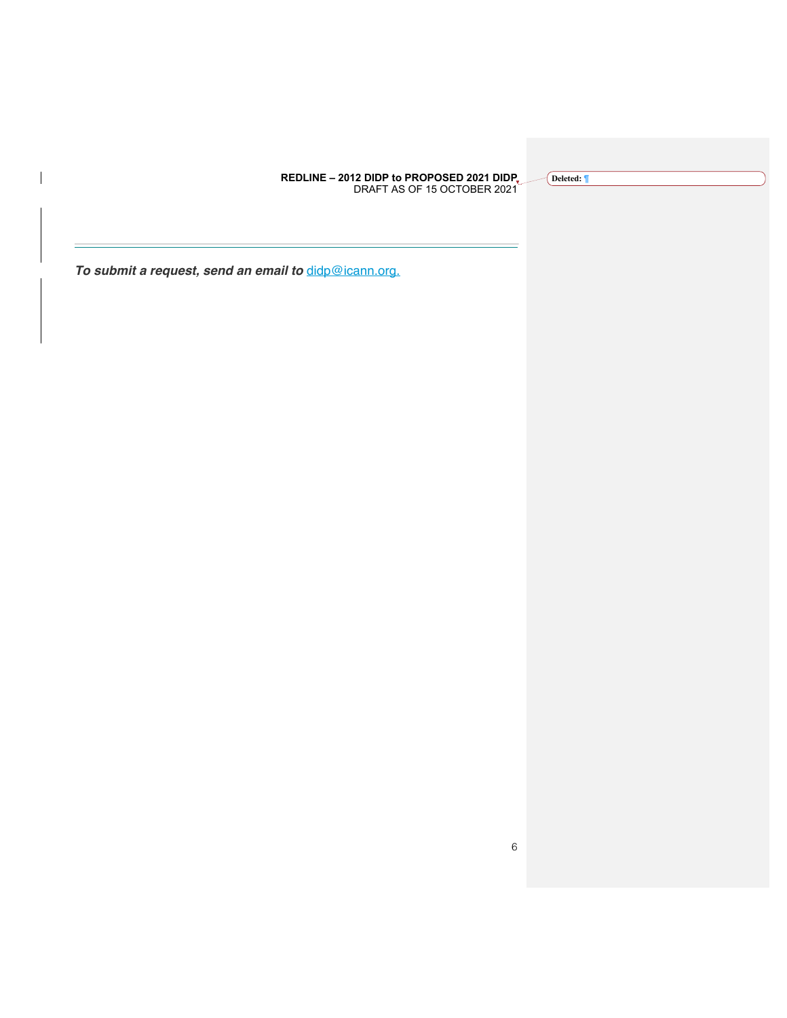**Deleted: ¶**

*To submit a request, send an email to* didp@icann.org.

 $\overline{\phantom{a}}$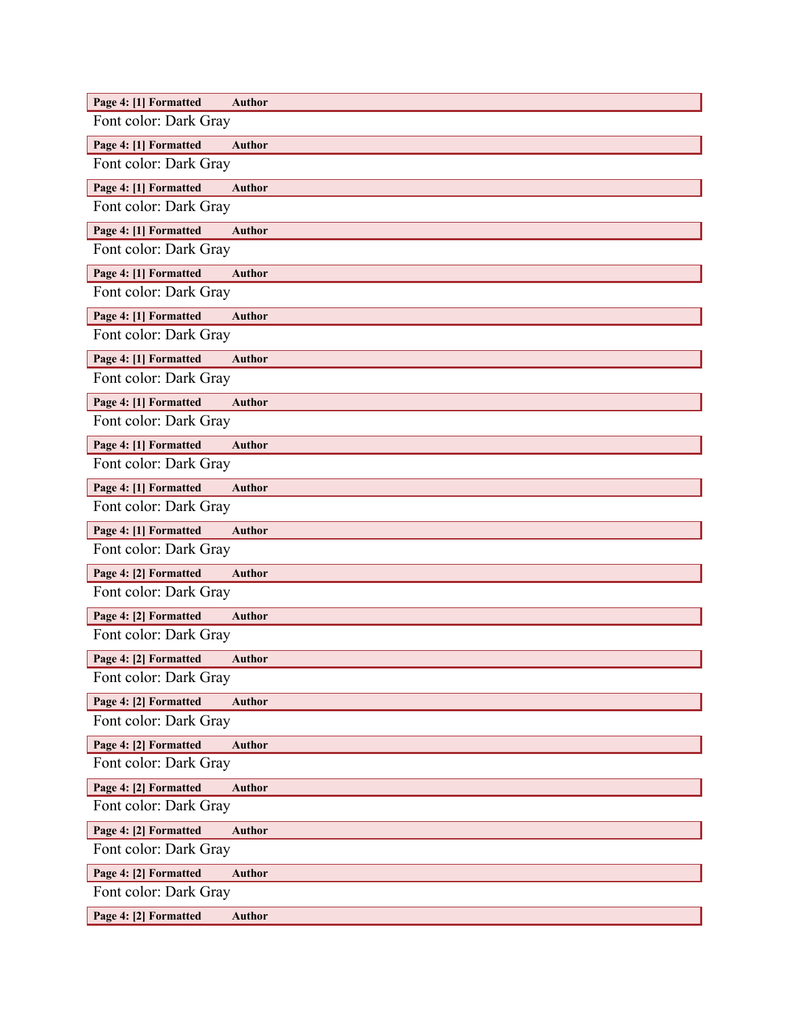| Page 4: [1] Formatted<br><b>Author</b> |
|----------------------------------------|
| Font color: Dark Gray                  |
| Page 4: [1] Formatted<br><b>Author</b> |
| Font color: Dark Gray                  |
| Page 4: [1] Formatted<br><b>Author</b> |
| Font color: Dark Gray                  |
| Page 4: [1] Formatted<br><b>Author</b> |
| Font color: Dark Gray                  |
| Page 4: [1] Formatted<br><b>Author</b> |
| Font color: Dark Gray                  |
| Page 4: [1] Formatted<br><b>Author</b> |
| Font color: Dark Gray                  |
| Page 4: [1] Formatted<br><b>Author</b> |
| Font color: Dark Gray                  |
| Page 4: [1] Formatted<br><b>Author</b> |
| Font color: Dark Gray                  |
| Page 4: [1] Formatted<br><b>Author</b> |
| Font color: Dark Gray                  |
| Page 4: [1] Formatted<br><b>Author</b> |
| Font color: Dark Gray                  |
| Page 4: [1] Formatted<br><b>Author</b> |
| Font color: Dark Gray                  |
| Page 4: [2] Formatted<br><b>Author</b> |
| Font color: Dark Gray                  |
| Page 4: [2] Formatted<br><b>Author</b> |
| Font color: Dark Gray                  |
| Page 4: [2] Formatted<br><b>Author</b> |
| Font color: Dark Gray                  |
| Page 4: [2] Formatted<br><b>Author</b> |
| Font color: Dark Gray                  |
| Page 4: [2] Formatted<br><b>Author</b> |
| Font color: Dark Gray                  |
| Page 4: [2] Formatted<br><b>Author</b> |
| Font color: Dark Gray                  |
| Page 4: [2] Formatted<br><b>Author</b> |
| Font color: Dark Gray                  |
| Page 4: [2] Formatted<br><b>Author</b> |
| Font color: Dark Gray                  |
| Page 4: [2] Formatted<br><b>Author</b> |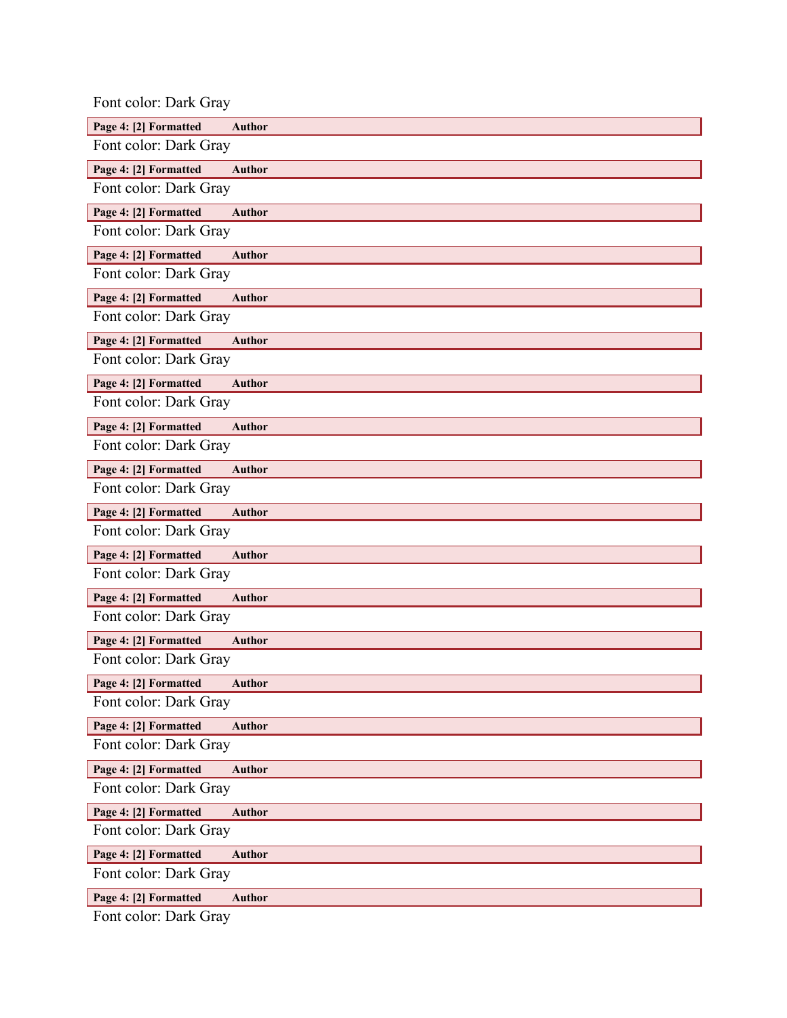| Font color: Dark Gray |               |
|-----------------------|---------------|
| Page 4: [2] Formatted | <b>Author</b> |
| Font color: Dark Gray |               |
| Page 4: [2] Formatted | <b>Author</b> |
| Font color: Dark Gray |               |
| Page 4: [2] Formatted | <b>Author</b> |
| Font color: Dark Gray |               |
| Page 4: [2] Formatted | <b>Author</b> |
| Font color: Dark Gray |               |
| Page 4: [2] Formatted | Author        |
| Font color: Dark Gray |               |
| Page 4: [2] Formatted | <b>Author</b> |
| Font color: Dark Gray |               |
| Page 4: [2] Formatted | <b>Author</b> |
| Font color: Dark Gray |               |
| Page 4: [2] Formatted | <b>Author</b> |
| Font color: Dark Gray |               |
| Page 4: [2] Formatted | <b>Author</b> |
| Font color: Dark Gray |               |
| Page 4: [2] Formatted | <b>Author</b> |
| Font color: Dark Gray |               |
| Page 4: [2] Formatted | <b>Author</b> |
| Font color: Dark Gray |               |
| Page 4: [2] Formatted | <b>Author</b> |
| Font color: Dark Gray |               |
| Page 4: [2] Formatted | <b>Author</b> |
| Font color: Dark Gray |               |
| Page 4: [2] Formatted | <b>Author</b> |
| Font color: Dark Gray |               |
| Page 4: [2] Formatted | <b>Author</b> |
| Font color: Dark Gray |               |
| Page 4: [2] Formatted | <b>Author</b> |
| Font color: Dark Gray |               |
| Page 4: [2] Formatted | <b>Author</b> |
| Font color: Dark Gray |               |
| Page 4: [2] Formatted | <b>Author</b> |
| Font color: Dark Gray |               |
| Page 4: [2] Formatted | <b>Author</b> |
| Font color: Dark Gray |               |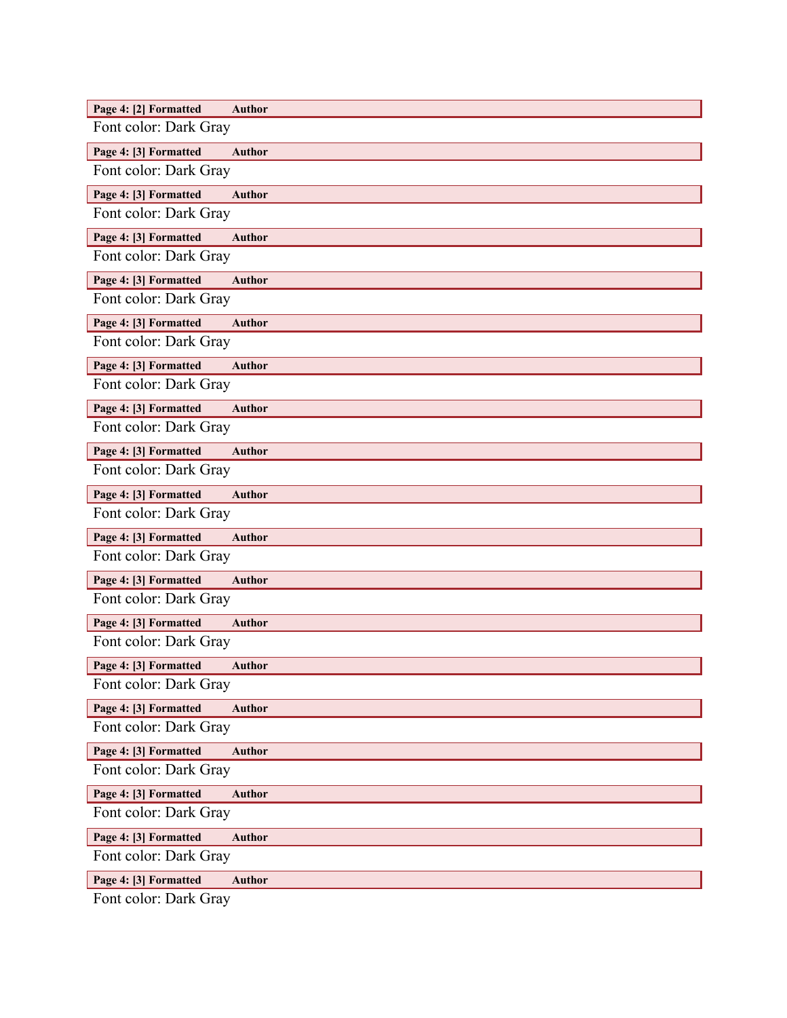| Page 4: [2] Formatted<br><b>Author</b><br>Font color: Dark Gray |
|-----------------------------------------------------------------|
|                                                                 |
| Page 4: [3] Formatted<br><b>Author</b><br>Font color: Dark Gray |
|                                                                 |
| Page 4: [3] Formatted<br><b>Author</b>                          |
| Font color: Dark Gray                                           |
| Page 4: [3] Formatted<br><b>Author</b>                          |
| Font color: Dark Gray                                           |
| Page 4: [3] Formatted<br><b>Author</b>                          |
| Font color: Dark Gray                                           |
| Page 4: [3] Formatted<br><b>Author</b>                          |
| Font color: Dark Gray                                           |
| Page 4: [3] Formatted<br><b>Author</b>                          |
| Font color: Dark Gray                                           |
| Page 4: [3] Formatted<br><b>Author</b>                          |
| Font color: Dark Gray                                           |
| Page 4: [3] Formatted<br><b>Author</b>                          |
| Font color: Dark Gray                                           |
| Page 4: [3] Formatted<br><b>Author</b>                          |
| Font color: Dark Gray                                           |
| Page 4: [3] Formatted<br><b>Author</b>                          |
| Font color: Dark Gray                                           |
| Page 4: [3] Formatted<br><b>Author</b>                          |
| Font color: Dark Gray                                           |
| Page 4: [3] Formatted<br><b>Author</b>                          |
| Font color: Dark Gray                                           |
| Page 4: [3] Formatted<br>Author                                 |
| Font color: Dark Gray                                           |
| Page 4: [3] Formatted<br><b>Author</b>                          |
| Font color: Dark Gray                                           |
| Page 4: [3] Formatted<br><b>Author</b>                          |
| Font color: Dark Gray                                           |
| Page 4: [3] Formatted<br><b>Author</b>                          |
| Font color: Dark Gray                                           |
| Page 4: [3] Formatted<br><b>Author</b>                          |
| Font color: Dark Gray                                           |
| Page 4: [3] Formatted<br><b>Author</b>                          |
| Font color: Dark Gray                                           |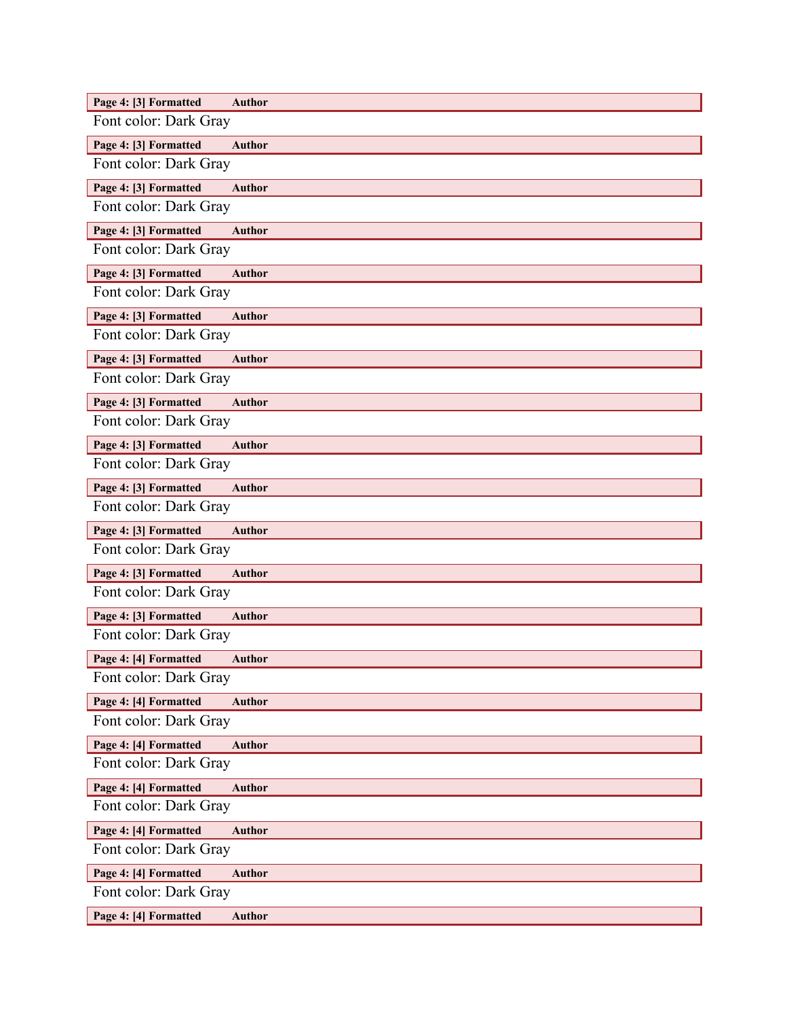| Page 4: [3] Formatted<br><b>Author</b> |
|----------------------------------------|
| Font color: Dark Gray                  |
| Page 4: [3] Formatted<br><b>Author</b> |
| Font color: Dark Gray                  |
| Page 4: [3] Formatted<br><b>Author</b> |
| Font color: Dark Gray                  |
| Page 4: [3] Formatted<br><b>Author</b> |
| Font color: Dark Gray                  |
| Page 4: [3] Formatted<br><b>Author</b> |
| Font color: Dark Gray                  |
| Page 4: [3] Formatted<br><b>Author</b> |
| Font color: Dark Gray                  |
| Page 4: [3] Formatted<br><b>Author</b> |
| Font color: Dark Gray                  |
| Page 4: [3] Formatted<br><b>Author</b> |
| Font color: Dark Gray                  |
| Page 4: [3] Formatted<br><b>Author</b> |
| Font color: Dark Gray                  |
| Page 4: [3] Formatted<br><b>Author</b> |
| Font color: Dark Gray                  |
| Page 4: [3] Formatted<br><b>Author</b> |
| Font color: Dark Gray                  |
| Page 4: [3] Formatted<br><b>Author</b> |
| Font color: Dark Gray                  |
| Page 4: [3] Formatted<br><b>Author</b> |
| Font color: Dark Gray                  |
| Page 4: [4] Formatted<br><b>Author</b> |
| Font color: Dark Gray                  |
| Page 4: [4] Formatted<br><b>Author</b> |
| Font color: Dark Gray                  |
| Page 4: [4] Formatted<br><b>Author</b> |
| Font color: Dark Gray                  |
| Page 4: [4] Formatted<br><b>Author</b> |
| Font color: Dark Gray                  |
| Page 4: [4] Formatted<br><b>Author</b> |
| Font color: Dark Gray                  |
| Page 4: [4] Formatted<br><b>Author</b> |
| Font color: Dark Gray                  |
| Page 4: [4] Formatted<br><b>Author</b> |